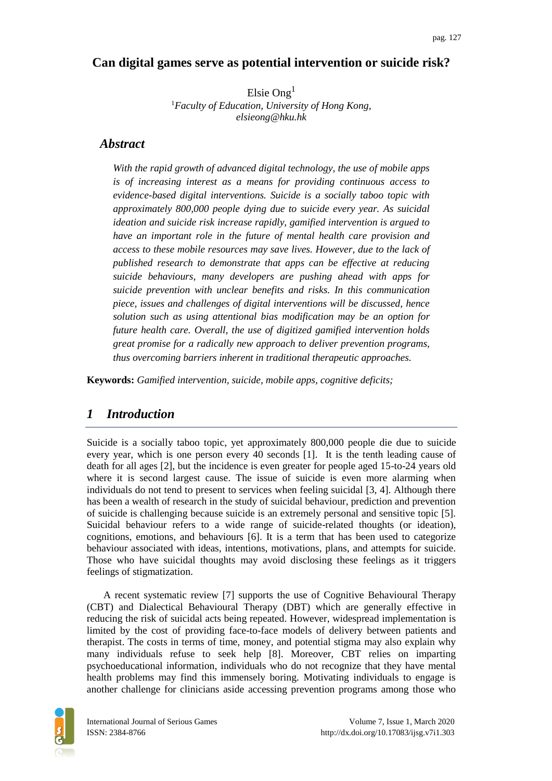## **Can digital games serve as potential intervention or suicide risk?**

Elsie Ong $<sup>1</sup>$ </sup> <sup>1</sup>*Faculty of Education, University of Hong Kong, elsieong@hku.hk*

### *Abstract*

*With the rapid growth of advanced digital technology, the use of mobile apps is of increasing interest as a means for providing continuous access to evidence-based digital interventions. Suicide is a socially taboo topic with approximately 800,000 people dying due to suicide every year. As suicidal ideation and suicide risk increase rapidly, gamified intervention is argued to have an important role in the future of mental health care provision and access to these mobile resources may save lives. However, due to the lack of published research to demonstrate that apps can be effective at reducing suicide behaviours, many developers are pushing ahead with apps for suicide prevention with unclear benefits and risks. In this communication piece, issues and challenges of digital interventions will be discussed, hence solution such as using attentional bias modification may be an option for future health care. Overall, the use of digitized gamified intervention holds great promise for a radically new approach to deliver prevention programs, thus overcoming barriers inherent in traditional therapeutic approaches.*

**Keywords:** *Gamified intervention, suicide, mobile apps, cognitive deficits;*

## *1 Introduction*

Suicide is a socially taboo topic, yet approximately 800,000 people die due to suicide every year, which is one person every 40 seconds [1]. It is the tenth leading cause of death for all ages [2], but the incidence is even greater for people aged 15-to-24 years old where it is second largest cause. The issue of suicide is even more alarming when individuals do not tend to present to services when feeling suicidal [3, 4]. Although there has been a wealth of research in the study of suicidal behaviour, prediction and prevention of suicide is challenging because suicide is an extremely personal and sensitive topic [5]. Suicidal behaviour refers to a wide range of suicide-related thoughts (or ideation), cognitions, emotions, and behaviours [6]. It is a term that has been used to categorize behaviour associated with ideas, intentions, motivations, plans, and attempts for suicide. Those who have suicidal thoughts may avoid disclosing these feelings as it triggers feelings of stigmatization.

A recent systematic review [7] supports the use of Cognitive Behavioural Therapy (CBT) and Dialectical Behavioural Therapy (DBT) which are generally effective in reducing the risk of suicidal acts being repeated. However, widespread implementation is limited by the cost of providing face-to-face models of delivery between patients and therapist. The costs in terms of time, money, and potential stigma may also explain why many individuals refuse to seek help [8]. Moreover, CBT relies on imparting psychoeducational information, individuals who do not recognize that they have mental health problems may find this immensely boring. Motivating individuals to engage is another challenge for clinicians aside accessing prevention programs among those who

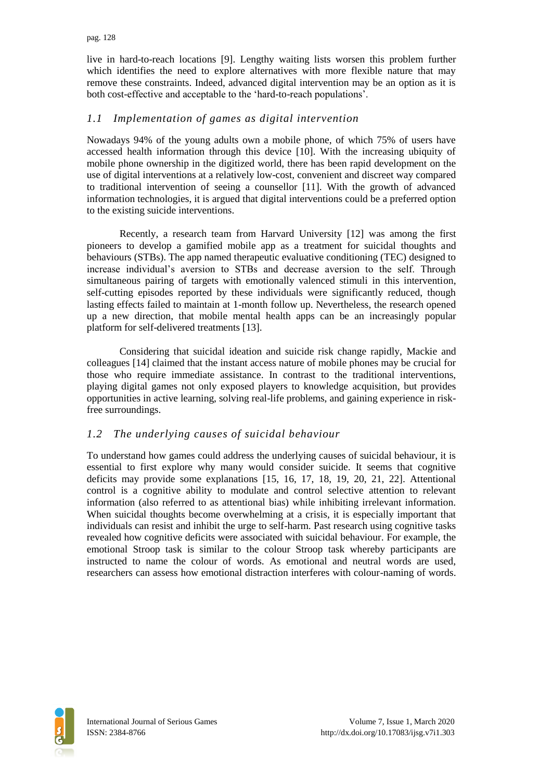live in hard-to-reach locations [9]. Lengthy waiting lists worsen this problem further which identifies the need to explore alternatives with more flexible nature that may remove these constraints. Indeed, advanced digital intervention may be an option as it is both cost-effective and acceptable to the 'hard-to-reach populations'.

### *1.1 Implementation of games as digital intervention*

Nowadays 94% of the young adults own a mobile phone, of which 75% of users have accessed health information through this device [10]. With the increasing ubiquity of mobile phone ownership in the digitized world, there has been rapid development on the use of digital interventions at a relatively low-cost, convenient and discreet way compared to traditional intervention of seeing a counsellor [11]. With the growth of advanced information technologies, it is argued that digital interventions could be a preferred option to the existing suicide interventions.

Recently, a research team from Harvard University [12] was among the first pioneers to develop a gamified mobile app as a treatment for suicidal thoughts and behaviours (STBs). The app named therapeutic evaluative conditioning (TEC) designed to increase individual's aversion to STBs and decrease aversion to the self. Through simultaneous pairing of targets with emotionally valenced stimuli in this intervention, self-cutting episodes reported by these individuals were significantly reduced, though lasting effects failed to maintain at 1-month follow up. Nevertheless, the research opened up a new direction, that mobile mental health apps can be an increasingly popular platform for self-delivered treatments [13].

Considering that suicidal ideation and suicide risk change rapidly, Mackie and colleagues [14] claimed that the instant access nature of mobile phones may be crucial for those who require immediate assistance. In contrast to the traditional interventions, playing digital games not only exposed players to knowledge acquisition, but provides opportunities in active learning, solving real-life problems, and gaining experience in riskfree surroundings.

#### *1.2 The underlying causes of suicidal behaviour*

To understand how games could address the underlying causes of suicidal behaviour, it is essential to first explore why many would consider suicide. It seems that cognitive deficits may provide some explanations [15, 16, 17, 18, 19, 20, 21, 22]. Attentional control is a cognitive ability to modulate and control selective attention to relevant information (also referred to as attentional bias) while inhibiting irrelevant information. When suicidal thoughts become overwhelming at a crisis, it is especially important that individuals can resist and inhibit the urge to self-harm. Past research using cognitive tasks revealed how cognitive deficits were associated with suicidal behaviour. For example, the emotional Stroop task is similar to the colour Stroop task whereby participants are instructed to name the colour of words. As emotional and neutral words are used, researchers can assess how emotional distraction interferes with colour-naming of words.

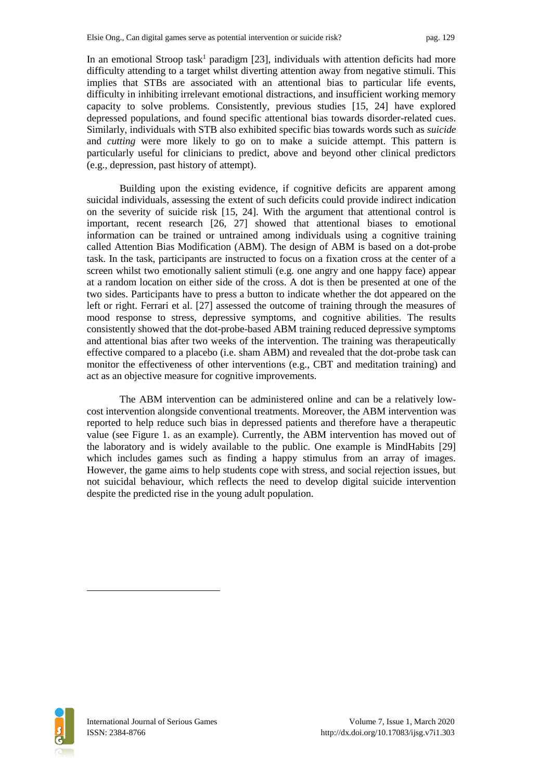In an emotional Stroop task<sup>1</sup> paradigm [23], individuals with attention deficits had more difficulty attending to a target whilst diverting attention away from negative stimuli. This implies that STBs are associated with an attentional bias to particular life events, difficulty in inhibiting irrelevant emotional distractions, and insufficient working memory capacity to solve problems. Consistently, previous studies [15, 24] have explored depressed populations, and found specific attentional bias towards disorder-related cues. Similarly, individuals with STB also exhibited specific bias towards words such as *suicide* and *cutting* were more likely to go on to make a suicide attempt. This pattern is particularly useful for clinicians to predict, above and beyond other clinical predictors (e.g., depression, past history of attempt).

Building upon the existing evidence, if cognitive deficits are apparent among suicidal individuals, assessing the extent of such deficits could provide indirect indication on the severity of suicide risk [15, 24]. With the argument that attentional control is important, recent research [26, 27] showed that attentional biases to emotional information can be trained or untrained among individuals using a cognitive training called Attention Bias Modification (ABM). The design of ABM is based on a dot-probe task. In the task, participants are instructed to focus on a fixation cross at the center of a screen whilst two emotionally salient stimuli (e.g. one angry and one happy face) appear at a random location on either side of the cross. A dot is then be presented at one of the two sides. Participants have to press a button to indicate whether the dot appeared on the left or right. Ferrari et al. [27] assessed the outcome of training through the measures of mood response to stress, depressive symptoms, and cognitive abilities. The results consistently showed that the dot-probe-based ABM training reduced depressive symptoms and attentional bias after two weeks of the intervention. The training was therapeutically effective compared to a placebo (i.e. sham ABM) and revealed that the dot-probe task can monitor the effectiveness of other interventions (e.g., CBT and meditation training) and act as an objective measure for cognitive improvements.

The ABM intervention can be administered online and can be a relatively lowcost intervention alongside conventional treatments. Moreover, the ABM intervention was reported to help reduce such bias in depressed patients and therefore have a therapeutic value (see Figure 1. as an example). Currently, the ABM intervention has moved out of the laboratory and is widely available to the public. One example is MindHabits [29] which includes games such as finding a happy stimulus from an array of images. However, the game aims to help students cope with stress, and social rejection issues, but not suicidal behaviour, which reflects the need to develop digital suicide intervention despite the predicted rise in the young adult population.



 $\overline{a}$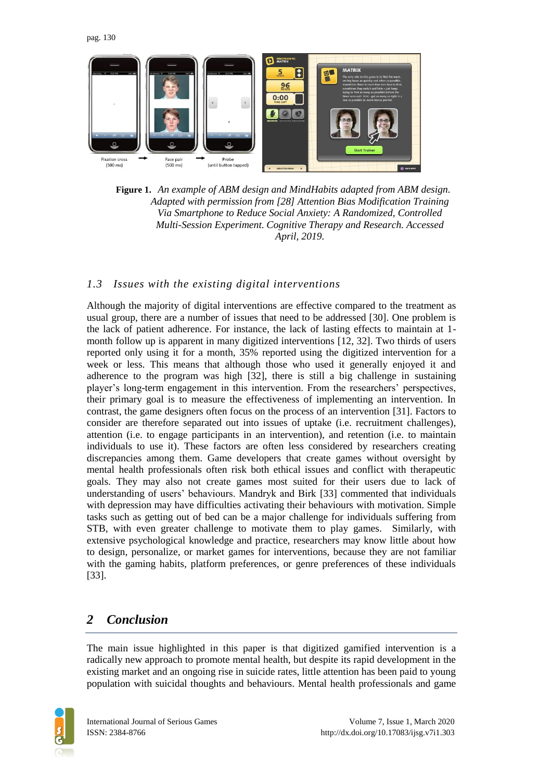

**Figure 1.** *An example of ABM design and MindHabits adapted from ABM design. Adapted with permission from [28] Attention Bias Modification Training Via Smartphone to Reduce Social Anxiety: A Randomized, Controlled Multi-Session Experiment. Cognitive Therapy and Research. Accessed April, 2019.*

#### *1.3 Issues with the existing digital interventions*

Although the majority of digital interventions are effective compared to the treatment as usual group, there are a number of issues that need to be addressed [30]. One problem is the lack of patient adherence. For instance, the lack of lasting effects to maintain at 1 month follow up is apparent in many digitized interventions [12, 32]. Two thirds of users reported only using it for a month, 35% reported using the digitized intervention for a week or less. This means that although those who used it generally enjoyed it and adherence to the program was high [32], there is still a big challenge in sustaining player's long-term engagement in this intervention. From the researchers' perspectives, their primary goal is to measure the effectiveness of implementing an intervention. In contrast, the game designers often focus on the process of an intervention [31]. Factors to consider are therefore separated out into issues of uptake (i.e. recruitment challenges), attention (i.e. to engage participants in an intervention), and retention (i.e. to maintain individuals to use it). These factors are often less considered by researchers creating discrepancies among them. Game developers that create games without oversight by mental health professionals often risk both ethical issues and conflict with therapeutic goals. They may also not create games most suited for their users due to lack of understanding of users' behaviours. Mandryk and Birk [33] commented that individuals with depression may have difficulties activating their behaviours with motivation. Simple tasks such as getting out of bed can be a major challenge for individuals suffering from STB, with even greater challenge to motivate them to play games. Similarly, with extensive psychological knowledge and practice, researchers may know little about how to design, personalize, or market games for interventions, because they are not familiar with the gaming habits, platform preferences, or genre preferences of these individuals [33].

## *2 Conclusion*

The main issue highlighted in this paper is that digitized gamified intervention is a radically new approach to promote mental health, but despite its rapid development in the existing market and an ongoing rise in suicide rates, little attention has been paid to young population with suicidal thoughts and behaviours. Mental health professionals and game

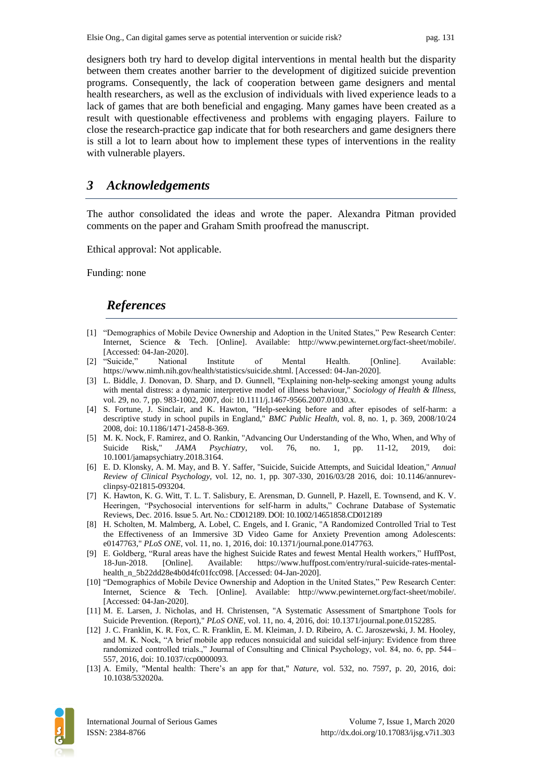designers both try hard to develop digital interventions in mental health but the disparity between them creates another barrier to the development of digitized suicide prevention programs. Consequently, the lack of cooperation between game designers and mental health researchers, as well as the exclusion of individuals with lived experience leads to a lack of games that are both beneficial and engaging. Many games have been created as a result with questionable effectiveness and problems with engaging players. Failure to close the research-practice gap indicate that for both researchers and game designers there is still a lot to learn about how to implement these types of interventions in the reality with vulnerable players.

### *3 Acknowledgements*

The author consolidated the ideas and wrote the paper. Alexandra Pitman provided comments on the paper and Graham Smith proofread the manuscript.

Ethical approval: Not applicable.

Funding: none

# *References*

- [1] "Demographics of Mobile Device Ownership and Adoption in the United States," Pew Research Center: Internet, Science & Tech. [Online]. Available: http://www.pewinternet.org/fact-sheet/mobile/. [Accessed: 04-Jan-2020].
- [2] "Suicide," National Institute of Mental Health. [Online]. Available: https://www.nimh.nih.gov/health/statistics/suicide.shtml. [Accessed: 04-Jan-2020].
- [3] L. Biddle, J. Donovan, D. Sharp, and D. Gunnell, "Explaining non-help-seeking amongst young adults with mental distress: a dynamic interpretive model of illness behaviour," *Sociology of Health & Illness,*  vol. 29, no. 7, pp. 983-1002, 2007, doi: 10.1111/j.1467-9566.2007.01030.x.
- [4] S. Fortune, J. Sinclair, and K. Hawton, "Help-seeking before and after episodes of self-harm: a descriptive study in school pupils in England," *BMC Public Health,* vol. 8, no. 1, p. 369, 2008/10/24 2008, doi: 10.1186/1471-2458-8-369.
- [5] M. K. Nock, F. Ramirez, and O. Rankin, "Advancing Our Understanding of the Who, When, and Why of Suicide Risk," *JAMA Psychiatry,* vol. 76, no. 1, pp. 11-12, 2019, doi: 10.1001/jamapsychiatry.2018.3164.
- [6] E. D. Klonsky, A. M. May, and B. Y. Saffer, "Suicide, Suicide Attempts, and Suicidal Ideation," *Annual Review of Clinical Psychology,* vol. 12, no. 1, pp. 307-330, 2016/03/28 2016, doi: 10.1146/annurevclinpsy-021815-093204.
- [7] K. Hawton, K. G. Witt, T. L. T. Salisbury, E. Arensman, D. Gunnell, P. Hazell, E. Townsend, and K. V. Heeringen, "Psychosocial interventions for self-harm in adults," Cochrane Database of Systematic Reviews, Dec. 2016. Issue 5. Art. No.: CD012189. DOI: 10.1002/14651858.CD012189
- [8] H. Scholten, M. Malmberg, A. Lobel, C. Engels, and I. Granic, "A Randomized Controlled Trial to Test the Effectiveness of an Immersive 3D Video Game for Anxiety Prevention among Adolescents: e0147763," *PLoS ONE,* vol. 11, no. 1, 2016, doi: 10.1371/journal.pone.0147763.
- [9] E. Goldberg, "Rural areas have the highest Suicide Rates and fewest Mental Health workers," HuffPost, 18-Jun-2018. [Online]. Available: https://www.huffpost.com/entry/rural-suicide-rates-mentalhealth\_n\_5b22dd28e4b0d4fc01fcc098. [Accessed: 04-Jan-2020].
- [10] "Demographics of Mobile Device Ownership and Adoption in the United States," Pew Research Center: Internet, Science & Tech. [Online]. Available: http://www.pewinternet.org/fact-sheet/mobile/. [Accessed: 04-Jan-2020].
- [11] M. E. Larsen, J. Nicholas, and H. Christensen, "A Systematic Assessment of Smartphone Tools for Suicide Prevention. (Report)," *PLoS ONE,* vol. 11, no. 4, 2016, doi: 10.1371/journal.pone.0152285.
- [12] J. C. Franklin, K. R. Fox, C. R. Franklin, E. M. Kleiman, J. D. Ribeiro, A. C. Jaroszewski, J. M. Hooley, and M. K. Nock, "A brief mobile app reduces nonsuicidal and suicidal self-injury: Evidence from three randomized controlled trials.," Journal of Consulting and Clinical Psychology, vol. 84, no. 6, pp. 544– 557, 2016, doi: 10.1037/ccp0000093.
- [13] A. Emily, "Mental health: There's an app for that," *Nature,* vol. 532, no. 7597, p. 20, 2016, doi: 10.1038/532020a.